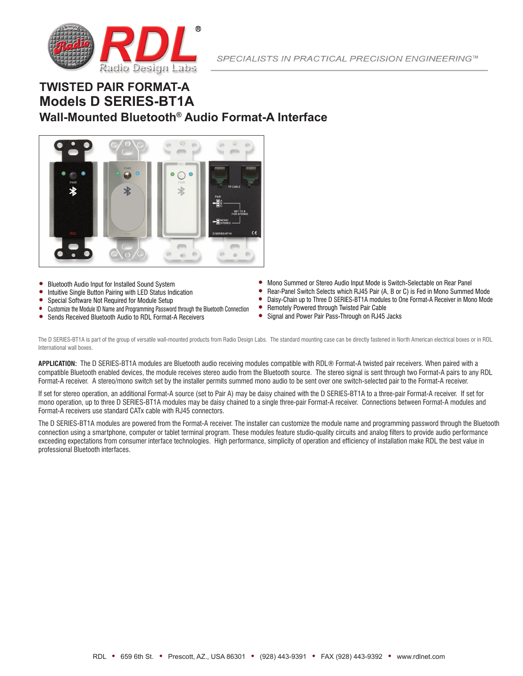

# **TWISTED PAIR FORMAT-A Models D SERIES-BT1A Wall-Mounted Bluetooth® Audio Format-A Interface**



- Bluetooth Audio Input for Installed Sound System
- Intuitive Single Button Pairing with LED Status Indication
- Special Software Not Required for Module Setup
- Customize the Module ID Name and Programming Password through the Bluetooth Connection
- Sends Received Bluetooth Audio to RDL Format-A Receivers
- Mono Summed or Stereo Audio Input Mode is Switch-Selectable on Rear Panel
- Rear-Panel Switch Selects which RJ45 Pair (A, B or C) is Fed in Mono Summed Mode<br>■ Daisy-Chain up to Three D SERIES-RT1A modules to One Format A Beceiver in Mono Mode
- Daisy-Chain up to Three D SERIES-BT1A modules to One Format-A Receiver in Mono Mode
- Remotely Powered through Twisted Pair Cable
- Signal and Power Pair Pass-Through on RJ45 Jacks

The D SERIES-BT1A is part of the group of versatile wall-mounted products from Radio Design Labs. The standard mounting case can be directly fastened in North American electrical boxes or in RDL International wall boxes.

**APPLICATION:** The D SERIES-BT1A modules are Bluetooth audio receiving modules compatible with RDL® Format-A twisted pair receivers. When paired with a compatible Bluetooth enabled devices, the module receives stereo audio from the Bluetooth source. The stereo signal is sent through two Format-A pairs to any RDL Format-A receiver. A stereo/mono switch set by the installer permits summed mono audio to be sent over one switch-selected pair to the Format-A receiver.

If set for stereo operation, an additional Format-A source (set to Pair A) may be daisy chained with the D SERIES-BT1A to a three-pair Format-A receiver. If set for mono operation, up to three D SERIES-BT1A modules may be daisy chained to a single three-pair Format-A receiver. Connections between Format-A modules and Format-A receivers use standard CATx cable with RJ45 connectors.

The D SERIES-BT1A modules are powered from the Format-A receiver. The installer can customize the module name and programming password through the Bluetooth connection using a smartphone, computer or tablet terminal program. These modules feature studio-quality circuits and analog filters to provide audio performance exceeding expectations from consumer interface technologies. High performance, simplicity of operation and efficiency of installation make RDL the best value in professional Bluetooth interfaces.